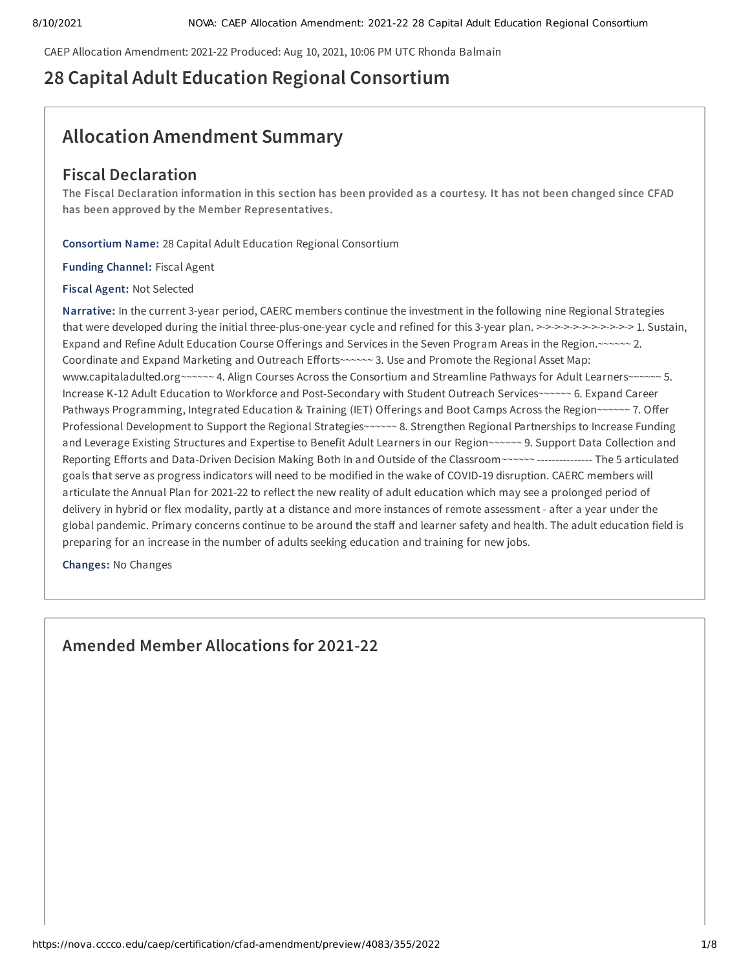CAEP Allocation Amendment: 2021-22 Produced: Aug 10, 2021, 10:06 PM UTC Rhonda Balmain

# **28 Capital Adult Education Regional Consortium**

# **Allocation Amendment Summary**

## **Fiscal Declaration**

The Fiscal Declaration information in this section has been provided as a courtesy. It has not been changed since CFAD **has been approved by the Member Representatives.**

**Consortium Name:** 28 Capital Adult Education Regional Consortium

**Funding Channel:** Fiscal Agent

**Fiscal Agent:** Not Selected

**Narrative:** In the current 3-year period, CAERC members continue the investment in the following nine Regional Strategies that were developed during the initial three-plus-one-year cycle and refined for this 3-year plan. >->->->->->->->->->-> 1. Sustain, Expand and Refine Adult Education Course Offerings and Services in the Seven Program Areas in the Region.~~~~~~ 2. Coordinate and Expand Marketing and Outreach Efforts~~~~~~ 3. Use and Promote the Regional Asset Map: www.capitaladulted.org~~~~~~ 4. Align Courses Across the Consortium and Streamline Pathways for Adult Learners~~~~~~ 5. Increase K-12 Adult Education to Workforce and Post-Secondary with Student Outreach Services~~~~~~ 6. Expand Career Pathways Programming, Integrated Education & Training (IET) Offerings and Boot Camps Across the Region~~~~~~ 7. Offer Professional Development to Support the Regional Strategies~~~~~~ 8. Strengthen Regional Partnerships to Increase Funding and Leverage Existing Structures and Expertise to Benefit Adult Learners in our Region~~~~~~ 9. Support Data Collection and Reporting Efforts and Data-Driven Decision Making Both In and Outside of the Classroom~~~~~~ --------------- The 5 articulated goals that serve as progress indicators will need to be modified in the wake of COVID-19 disruption. CAERC members will articulate the Annual Plan for 2021-22 to reflect the new reality of adult education which may see a prolonged period of delivery in hybrid or flex modality, partly at a distance and more instances of remote assessment - after a year under the global pandemic. Primary concerns continue to be around the staff and learner safety and health. The adult education field is preparing for an increase in the number of adults seeking education and training for new jobs.

**Changes:** No Changes

**Amended Member Allocations for 2021-22**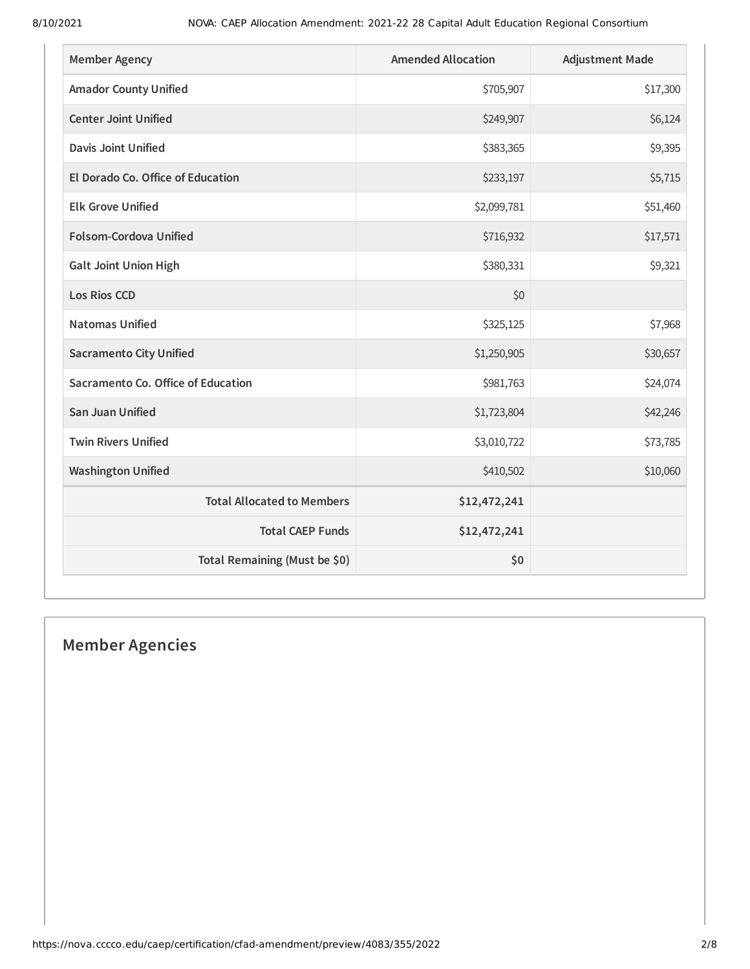| <b>Member Agency</b>               | <b>Amended Allocation</b> | <b>Adjustment Made</b> |
|------------------------------------|---------------------------|------------------------|
| <b>Amador County Unified</b>       | \$705,907                 | \$17,300               |
| <b>Center Joint Unified</b>        | \$249,907                 | \$6,124                |
| <b>Davis Joint Unified</b>         | \$383,365                 | \$9,395                |
| El Dorado Co. Office of Education  | \$233,197                 | \$5,715                |
| <b>Elk Grove Unified</b>           | \$2,099,781               | \$51,460               |
| <b>Folsom-Cordova Unified</b>      | \$716,932                 | \$17,571               |
| <b>Galt Joint Union High</b>       | \$380,331                 | \$9,321                |
| <b>Los Rios CCD</b>                | \$0                       |                        |
| <b>Natomas Unified</b>             | \$325,125                 | \$7,968                |
| <b>Sacramento City Unified</b>     | \$1,250,905               | \$30,657               |
| Sacramento Co. Office of Education | \$981,763                 | \$24,074               |
| <b>San Juan Unified</b>            | \$1,723,804               | \$42,246               |
| <b>Twin Rivers Unified</b>         | \$3,010,722               | \$73,785               |
| <b>Washington Unified</b>          | \$410,502                 | \$10,060               |
| <b>Total Allocated to Members</b>  | \$12,472,241              |                        |
| <b>Total CAEP Funds</b>            | \$12,472,241              |                        |
| Total Remaining (Must be \$0)      | \$0                       |                        |

# **Member Agencies**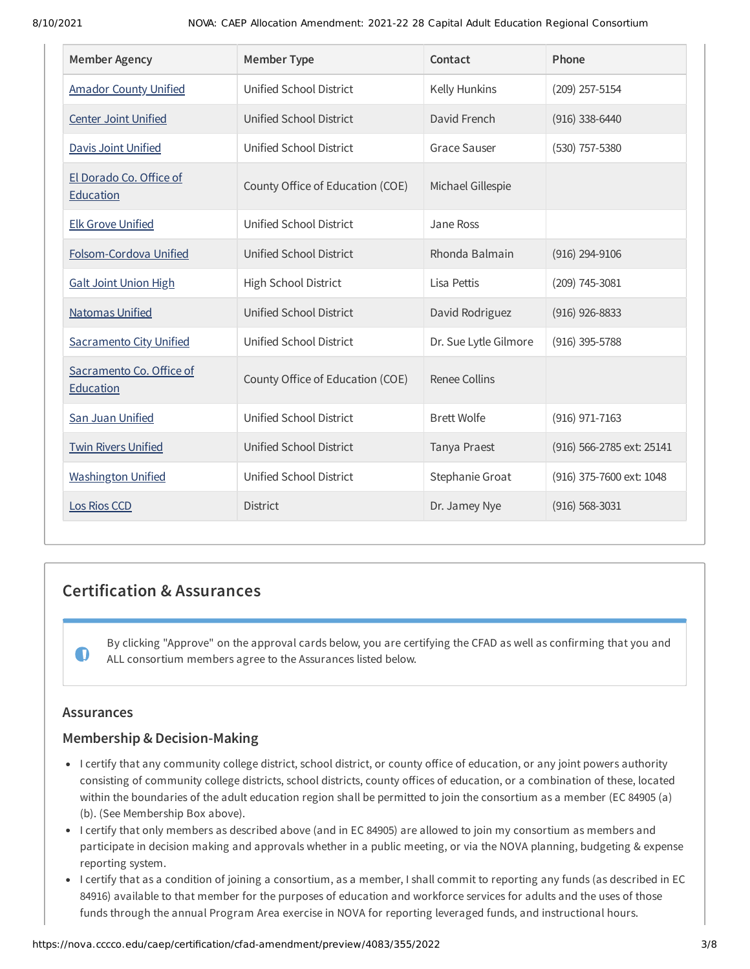| <b>Member Agency</b>                  | <b>Member Type</b>               | Contact               | Phone                     |
|---------------------------------------|----------------------------------|-----------------------|---------------------------|
| <b>Amador County Unified</b>          | Unified School District          | Kelly Hunkins         | $(209)$ 257-5154          |
| <b>Center Joint Unified</b>           | Unified School District          | David French          | $(916)$ 338-6440          |
| <b>Davis Joint Unified</b>            | Unified School District          | <b>Grace Sauser</b>   | (530) 757-5380            |
| El Dorado Co. Office of<br>Education  | County Office of Education (COE) | Michael Gillespie     |                           |
| <b>Elk Grove Unified</b>              | Unified School District          | Jane Ross             |                           |
| Folsom-Cordova Unified                | <b>Unified School District</b>   | Rhonda Balmain        | (916) 294-9106            |
| <b>Galt Joint Union High</b>          | High School District             | Lisa Pettis           | $(209)$ 745-3081          |
| <b>Natomas Unified</b>                | <b>Unified School District</b>   | David Rodriguez       | $(916)$ 926-8833          |
| <b>Sacramento City Unified</b>        | Unified School District          | Dr. Sue Lytle Gilmore | $(916)$ 395-5788          |
| Sacramento Co. Office of<br>Education | County Office of Education (COE) | <b>Renee Collins</b>  |                           |
| San Juan Unified                      | Unified School District          | <b>Brett Wolfe</b>    | (916) 971-7163            |
| <b>Twin Rivers Unified</b>            | Unified School District          | Tanya Praest          | (916) 566-2785 ext: 25141 |
| <b>Washington Unified</b>             | Unified School District          | Stephanie Groat       | (916) 375-7600 ext: 1048  |
| Los Rios CCD                          | <b>District</b>                  | Dr. Jamey Nye         | $(916) 568 - 3031$        |

## **Certification & Assurances**

By clicking "Approve" on the approval cards below, you are certifying the CFAD as well as confirming that you and ALL consortium members agree to the Assurances listed below.

## **Assurances**

 $\bullet$ 

## **Membership & Decision-Making**

- I certify that any community college district, school district, or county office of education, or any joint powers authority consisting of community college districts, school districts, county offices of education, or a combination of these, located within the boundaries of the adult education region shall be permitted to join the consortium as a member (EC 84905 (a) (b). (See Membership Box above).
- I certify that only members as described above (and in EC 84905) are allowed to join my consortium as members and participate in decision making and approvals whether in a public meeting, or via the NOVA planning, budgeting & expense reporting system.
- I certify that as a condition of joining a consortium, as a member, I shall commit to reporting any funds (as described in EC 84916) available to that member for the purposes of education and workforce services for adults and the uses of those funds through the annual Program Area exercise in NOVA for reporting leveraged funds, and instructional hours.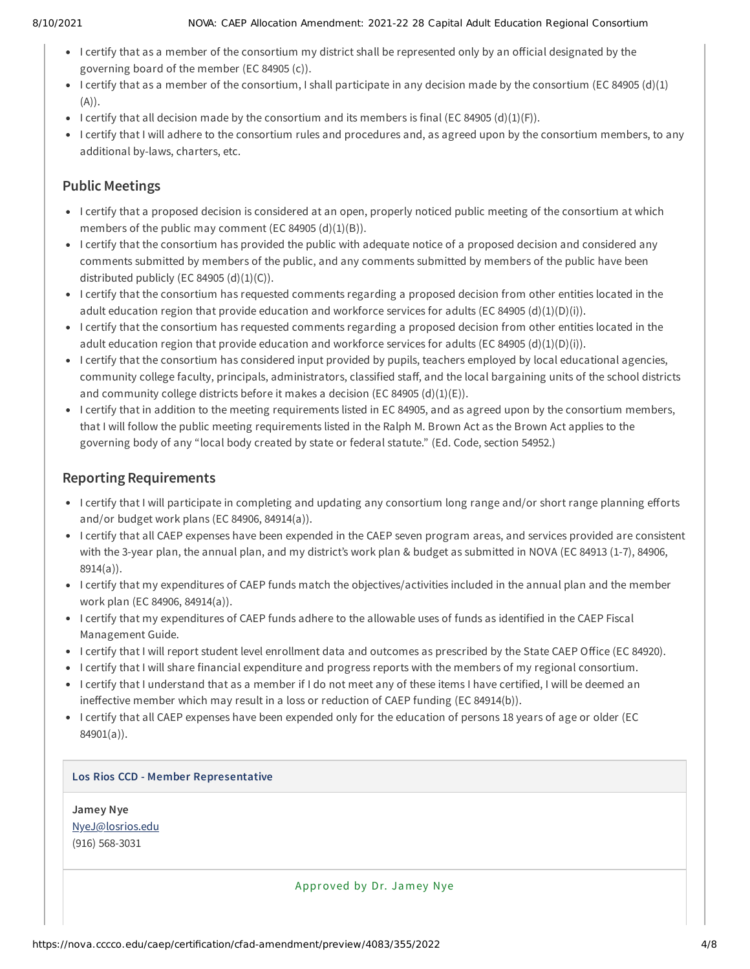## 8/10/2021 NOVA: CAEP Allocation Amendment: 2021-22 28 Capital Adult Education Regional Consortium

- I certify that as a member of the consortium my district shall be represented only by an official designated by the governing board of the member (EC 84905 (c)).
- I certify that as a member of the consortium, I shall participate in any decision made by the consortium (EC 84905 (d)(1) (A)).
- I certify that all decision made by the consortium and its members is final (EC 84905 (d)(1)(F)).
- I certify that I will adhere to the consortium rules and procedures and, as agreed upon by the consortium members, to any additional by-laws, charters, etc.

## **Public Meetings**

- I certify that a proposed decision is considered at an open, properly noticed public meeting of the consortium at which members of the public may comment (EC 84905  $(d)(1)(B)$ ).
- I certify that the consortium has provided the public with adequate notice of a proposed decision and considered any comments submitted by members of the public, and any comments submitted by members of the public have been distributed publicly (EC 84905  $(d)(1)(C)$ ).
- I certify that the consortium has requested comments regarding a proposed decision from other entities located in the adult education region that provide education and workforce services for adults (EC 84905 (d)(1)(D)(i)).
- I certify that the consortium has requested comments regarding a proposed decision from other entities located in the adult education region that provide education and workforce services for adults (EC 84905 (d)(1)(D)(i)).
- I certify that the consortium has considered input provided by pupils, teachers employed by local educational agencies, community college faculty, principals, administrators, classified staff, and the local bargaining units of the school districts and community college districts before it makes a decision (EC 84905  $(d)(1)(E)$ ).
- I certify that in addition to the meeting requirements listed in EC 84905, and as agreed upon by the consortium members, that I will follow the public meeting requirements listed in the Ralph M. Brown Act as the Brown Act applies to the governing body of any "local body created by state or federal statute." (Ed. Code, section 54952.)

## **Reporting Requirements**

- I certify that I will participate in completing and updating any consortium long range and/or short range planning efforts and/or budget work plans (EC 84906, 84914(a)).
- I certify that all CAEP expenses have been expended in the CAEP seven program areas, and services provided are consistent with the 3-year plan, the annual plan, and my district's work plan & budget as submitted in NOVA (EC 84913 (1-7), 84906, 8914(a)).
- I certify that my expenditures of CAEP funds match the objectives/activities included in the annual plan and the member work plan (EC 84906, 84914(a)).
- I certify that my expenditures of CAEP funds adhere to the allowable uses of funds as identified in the CAEP Fiscal Management Guide.
- I certify that I will report student level enrollment data and outcomes as prescribed by the State CAEP Office (EC 84920).
- I certify that I will share financial expenditure and progress reports with the members of my regional consortium.
- I certify that I understand that as a member if I do not meet any of these items I have certified, I will be deemed an ineffective member which may result in a loss or reduction of CAEP funding (EC 84914(b)).
- I certify that all CAEP expenses have been expended only for the education of persons 18 years of age or older (EC 84901(a)).

## **Los Rios CCD - Member Representative**

**Jamey Nye** [NyeJ@losrios.edu](mailto:NyeJ@losrios.edu) (916) 568-3031

Approved by Dr. Jamey Nye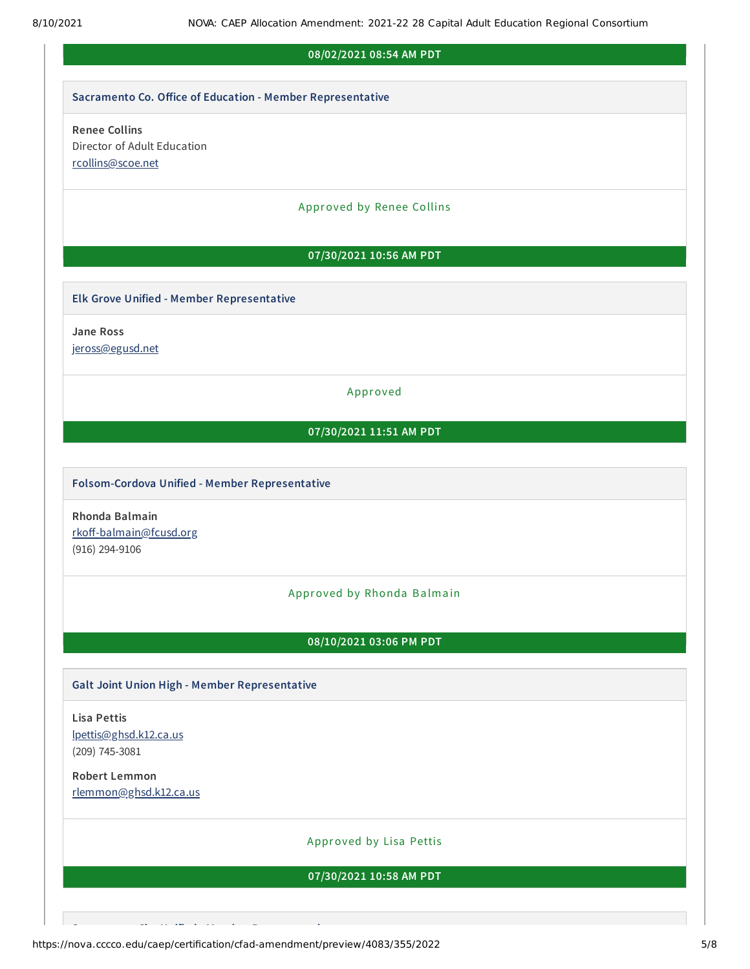## **08/02/2021 08:54 AM PDT**

#### **Sacramento Co. Office of Education - Member Representative**

## **Renee Collins** Director of Adult Education [rcollins@scoe.net](mailto:rcollins@scoe.net)

#### Approved by Renee Collins

## **07/30/2021 10:56 AM PDT**

## **Elk Grove Unified - Member Representative**

**Jane Ross**

[jeross@egusd.net](mailto:jeross@egusd.net)

## Approved

## **07/30/2021 11:51 AM PDT**

### **Folsom-Cordova Unified - Member Representative**

**Rhonda Balmain** [rkoff-balmain@fcusd.org](mailto:rkoff-balmain@fcusd.org) (916) 294-9106

## Approved by Rhonda Balmain

## **08/10/2021 03:06 PM PDT**

## **Galt Joint Union High - Member Representative**

## **Lisa Pettis** [lpettis@ghsd.k12.ca.us](mailto:lpettis@ghsd.k12.ca.us) (209) 745-3081

## **Robert Lemmon** [rlemmon@ghsd.k12.ca.us](mailto:rlemmon@ghsd.k12.ca.us)

## Approved by Lisa Pettis

## **07/30/2021 10:58 AM PDT**

https://nova.cccco.edu/caep/certification/cfad-amendment/preview/4083/355/2022 5/8

**S Ci U ifi d M b R i**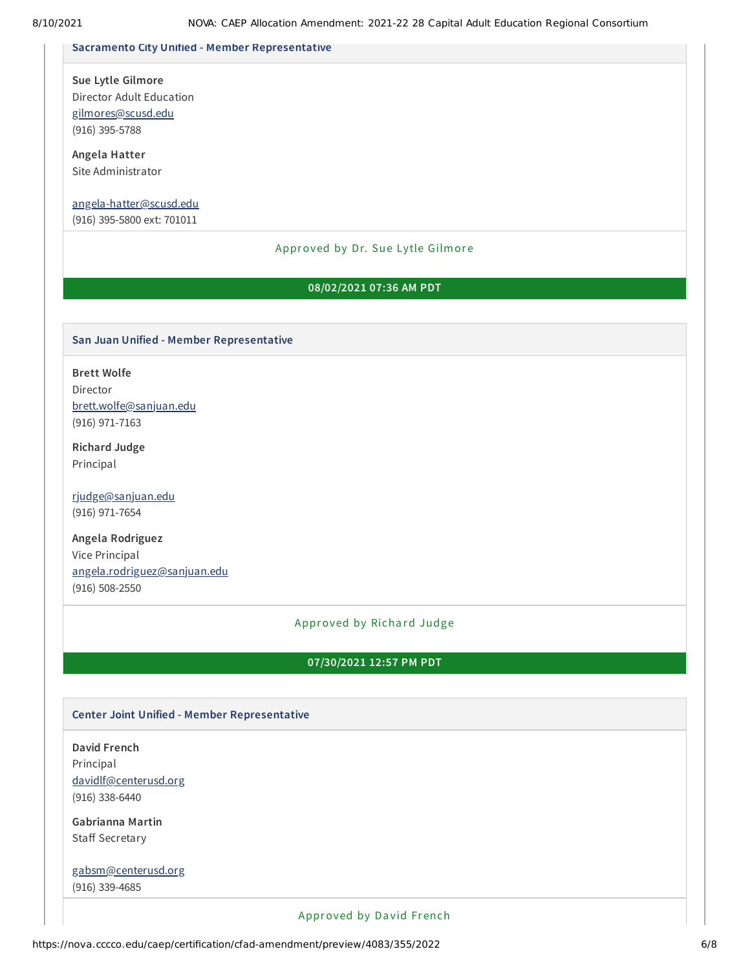#### **Sacramento City Unified - Member Representative**

**Sue Lytle Gilmore** Director Adult Education

[gilmores@scusd.edu](mailto:gilmores@scusd.edu) (916) 395-5788

**Angela Hatter** Site Administrator

## [angela-hatter@scusd.edu](mailto:angela-hatter@scusd.edu)

(916) 395-5800 ext: 701011

## Approved by Dr. Sue Lytle Gilmore

## **08/02/2021 07:36 AM PDT**

#### **San Juan Unified - Member Representative**

**Brett Wolfe** Director [brett.wolfe@sanjuan.edu](mailto:brett.wolfe@sanjuan.edu) (916) 971-7163

**Richard Judge** Principal

[rjudge@sanjuan.edu](mailto:rjudge@sanjuan.edu) (916) 971-7654

**Angela Rodriguez** Vice Principal [angela.rodriguez@sanjuan.edu](mailto:angela.rodriguez@sanjuan.edu) (916) 508-2550

#### Approved by Richard Judge

### **07/30/2021 12:57 PM PDT**

#### **Center Joint Unified - Member Representative**

**David French** Principal [davidlf@centerusd.org](mailto:davidlf@centerusd.org) (916) 338-6440

**Gabrianna Martin** Staff Secretary

[gabsm@centerusd.org](mailto:gabsm@centerusd.org) (916) 339-4685

## Approved by David French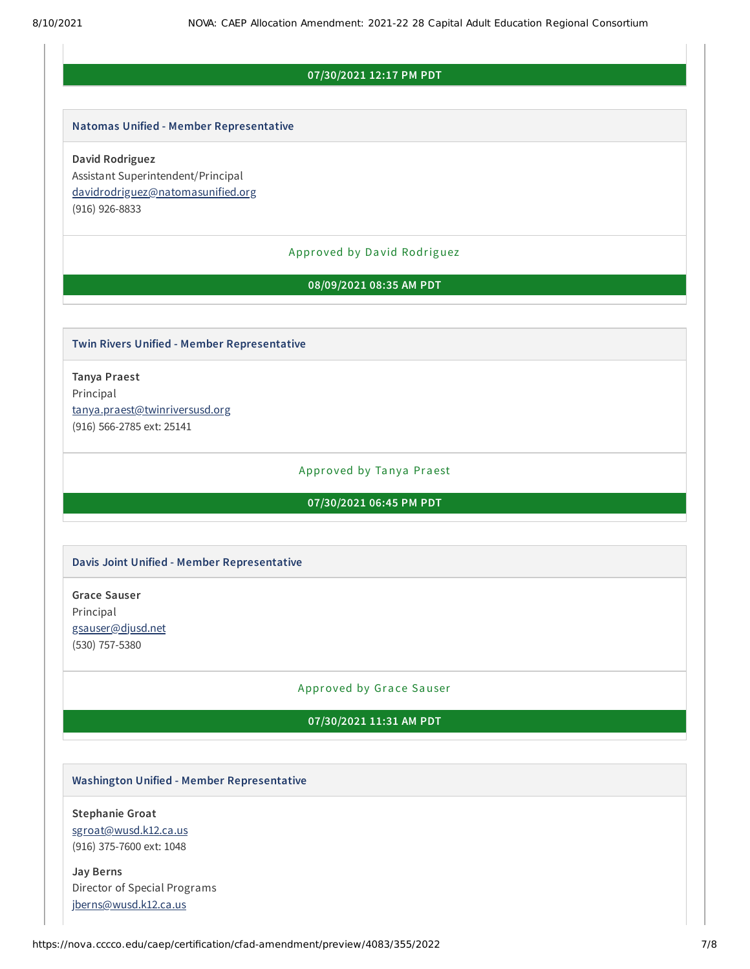## **07/30/2021 12:17 PM PDT**

#### **Natomas Unified - Member Representative**

**David Rodriguez** Assistant Superintendent/Principal [davidrodriguez@natomasunified.org](mailto:davidrodriguez@natomasunified.org) (916) 926-8833

#### Approved by Da vid Rodriguez

#### **08/09/2021 08:35 AM PDT**

## **Twin Rivers Unified - Member Representative**

**Tanya Praest** Principal [tanya.praest@twinriversusd.org](mailto:tanya.praest@twinriversusd.org) (916) 566-2785 ext: 25141

#### Approved by Tanya Praest

**07/30/2021 06:45 PM PDT**

#### **Davis Joint Unified - Member Representative**

**Grace Sauser** Principal [gsauser@djusd.net](mailto:gsauser@djusd.net) (530) 757-5380

#### Approved by Grace Sauser

### **07/30/2021 11:31 AM PDT**

## **Washington Unified - Member Representative**

**Stephanie Groat** [sgroat@wusd.k12.ca.us](mailto:sgroat@wusd.k12.ca.us) (916) 375-7600 ext: 1048

**Jay Berns** Director of Special Programs [jberns@wusd.k12.ca.us](mailto:jberns@wusd.k12.ca.us)